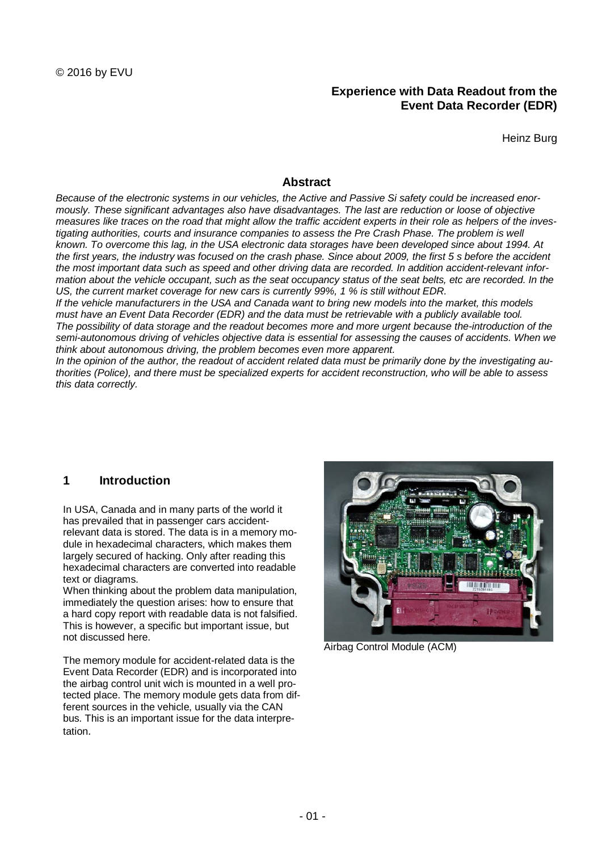# **Experience with Data Readout from the Event Data Recorder (EDR)**

Heinz Burg

## **Abstract**

*Because of the electronic systems in our vehicles, the Active and Passive Si safety could be increased enormously. These significant advantages also have disadvantages. The last are reduction or loose of objective measures like traces on the road that might allow the traffic accident experts in their role as helpers of the inves*tigating authorities, courts and insurance companies to assess the Pre Crash Phase. The problem is well *known. To overcome this lag, in the USA electronic data storages have been developed since about 1994. At the first years, the industry was focused on the crash phase. Since about 2009, the first 5 s before the accident the most important data such as speed and other driving data are recorded. In addition accident-relevant information about the vehicle occupant, such as the seat occupancy status of the seat belts, etc are recorded. In the US, the current market coverage for new cars is currently 99%, 1 % is still without EDR.*

*If the vehicle manufacturers in the USA and Canada want to bring new models into the market, this models must have an Event Data Recorder (EDR) and the data must be retrievable with a publicly available tool. The possibility of data storage and the readout becomes more and more urgent because the-introduction of the semi-autonomous driving of vehicles objective data is essential for assessing the causes of accidents. When we think about autonomous driving, the problem becomes even more apparent.*

*In the opinion of the author, the readout of accident related data must be primarily done by the investigating authorities (Police), and there must be specialized experts for accident reconstruction, who will be able to assess this data correctly.*

# **1 Introduction**

In USA, Canada and in many parts of the world it has prevailed that in passenger cars accidentrelevant data is stored. The data is in a memory module in hexadecimal characters, which makes them largely secured of hacking. Only after reading this hexadecimal characters are converted into readable text or diagrams.

When thinking about the problem data manipulation, immediately the question arises: how to ensure that a hard copy report with readable data is not falsified. This is however, a specific but important issue, but not discussed here.

The memory module for accident-related data is the Event Data Recorder (EDR) and is incorporated into the airbag control unit wich is mounted in a well protected place. The memory module gets data from different sources in the vehicle, usually via the CAN bus. This is an important issue for the data interpretation.



Airbag Control Module (ACM)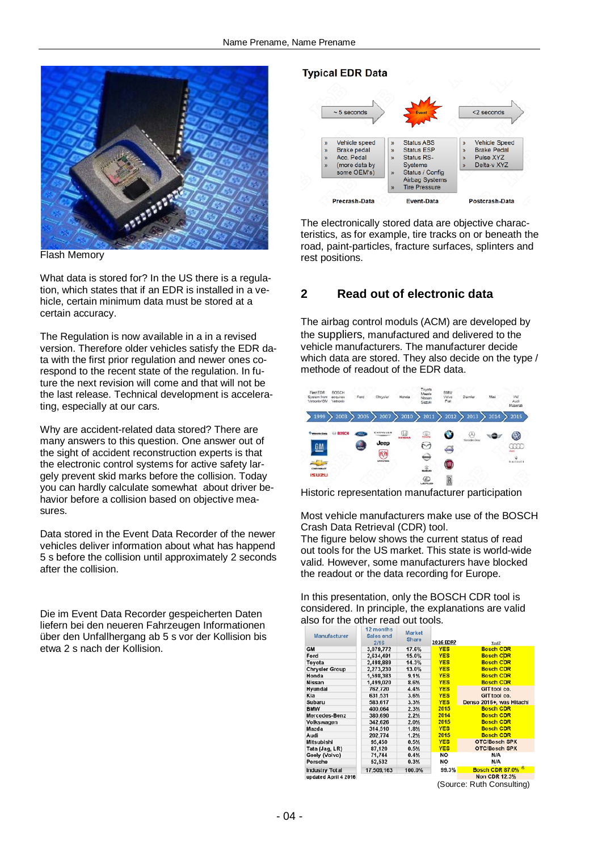

Flash Memory

What data is stored for? In the US there is a regulation, which states that if an EDR is installed in a vehicle, certain minimum data must be stored at a certain accuracy.

The Regulation is now available in a in a revised version. Therefore older vehicles satisfy the EDR data with the first prior regulation and newer ones corespond to the recent state of the regulation. In future the next revision will come and that will not be the last release. Technical development is accelerating, especially at our cars.

Why are accident-related data stored? There are many answers to this question. One answer out of the sight of accident reconstruction experts is that the electronic control systems for active safety largely prevent skid marks before the collision. Today you can hardly calculate somewhat about driver behavior before a collision based on objective measures.

Data stored in the Event Data Recorder of the newer vehicles deliver information about what has happend 5 s before the collision until approximately 2 seconds after the collision.

Die im Event Data Recorder gespeicherten Daten liefern bei den neueren Fahrzeugen Informationen über den Unfallhergang ab 5 s vor der Kollision bis etwa 2 s nach der Kollision.

#### **Typical EDR Data**



The electronically stored data are objective characteristics, as for example, tire tracks on or beneath the road, paint-particles, fracture surfaces, splinters and rest positions.

## **2 Read out of electronic data**

The airbag control moduls (ACM) are developed by the suppliers, manufactured and delivered to the vehicle manufacturers. The manufacturer decide which data are stored. They also decide on the type / methode of readout of the EDR data.

| First EDR<br>System from<br>Vetronix/GM                         | <b>BOSCH</b><br>acquires<br>Vetronix | Ford      | Chrysler                              | Honda        | Toyota<br>Mazda<br>Nissan<br>Suzuki<br>83 C.H             | <b>BMW</b><br>Volvo<br>Fiat | Daimler            | Mini | <b>VW</b><br>Audi<br>Maserati                  |
|-----------------------------------------------------------------|--------------------------------------|-----------|---------------------------------------|--------------|-----------------------------------------------------------|-----------------------------|--------------------|------|------------------------------------------------|
| 1999                                                            | 2003                                 | 2005      | 2007                                  | 2010         | 2011                                                      | 2012                        | 2013               | 2014 | 2015                                           |
| <b>Welcombr Corp.</b><br><b>GM</b><br>CHEVROLET<br><b>ISUZU</b> | GE BOSCH                             | 854<br>ä. | <b>CHAVELER</b><br>Jeep<br>6Ø<br>UUUM | $\mathbb{Q}$ | ּ<br>Z<br>س<br>\$<br><b>BURGAO</b><br>©<br><b>LEDGLIS</b> | G<br>⇔<br><b>JFINT</b><br>R | ω<br>Mercedes-Sena |      | $\boldsymbol{\omega}$<br>œœ<br><b>MASERATE</b> |

Historic representation manufacturer participation

Most vehicle manufacturers make use of the BOSCH Crash Data Retrieval (CDR) tool.

The figure below shows the current status of read out tools for the US market. This state is world-wide valid. However, some manufacturers have blocked the readout or the data recording for Europe.

In this presentation, only the BOSCH CDR tool is considered. In principle, the explanations are valid also for the other read out tools.

| <b>Manufacturer</b>   | 17 montns<br>Sales end<br>2/16 | <b>Market</b><br><b>Share</b> | 2016 EDR?  | Tool?                     |
|-----------------------|--------------------------------|-------------------------------|------------|---------------------------|
| <b>GM</b>             | 3,079,772                      | 17.6%                         | <b>YES</b> | <b>Bosch CDR</b>          |
| Ford                  | 2,634,491                      | 15.0%                         | <b>YES</b> | <b>Bosch CDR</b>          |
| Toyota                | 2,498,889                      | 14.3%                         | <b>YES</b> | <b>Bosch CDR</b>          |
| <b>Chrysler Group</b> | 2,273,230                      | 13.0%                         | <b>YES</b> | <b>Bosch CDR</b>          |
| Honda                 | 1,598,383                      | 9.1%                          | <b>YES</b> | <b>Bosch CDR</b>          |
| <b>Nissan</b>         | 1,499,020                      | 8.6%                          | <b>YES</b> | <b>Bosch CDR</b>          |
| Hyundai               | 762,720                        | 4.4%                          | <b>YES</b> | GIT tool co.              |
| Kia                   | 631,531                        | 3.6%                          | <b>YES</b> | GIT tool co.              |
| Subaru                | 583,617                        | 3.3%                          | <b>YES</b> | Denso 2016+, was Hitachi  |
| <b>BMW</b>            | 400,064                        | 2.3%                          | 2015       | <b>Bosch CDR</b>          |
| Mercedes-Benz         | 380,690                        | 2.2%                          | 2014       | <b>Bosch CDR</b>          |
| Volkswagen            | 342,626                        | 2.0%                          | 2015       | <b>Bosch CDR</b>          |
| Mazda                 | 314,510                        | 1.8%                          | <b>YES</b> | <b>Bosch CDR</b>          |
| Audi                  | 202,774                        | 1.2%                          | 2015       | <b>Bosch CDR</b>          |
| Mitsubishi            | 95,450                         | 0.5%                          | <b>YES</b> | OTC/Bosch SPX             |
| Tata (Jag, LR)        | 87,120                         | 0.5%                          | <b>YES</b> | <b>OTC/Bosch SPX</b>      |
| Geely (Volvo)         | 71,744                         | 0.4%                          | <b>NO</b>  | N/A                       |
| Porsche               | 52,532                         | 0.3%                          | NO         | N/A                       |
| <b>Industry Total</b> | 17,509,163                     | 100.0%                        | 99.3%      | <b>Bosch CDR 87.0% 6</b>  |
| updated April 4 2016  |                                |                               |            | <b>Non CDR 12.3%</b>      |
|                       |                                |                               |            | (Source: Ruth Consultina) |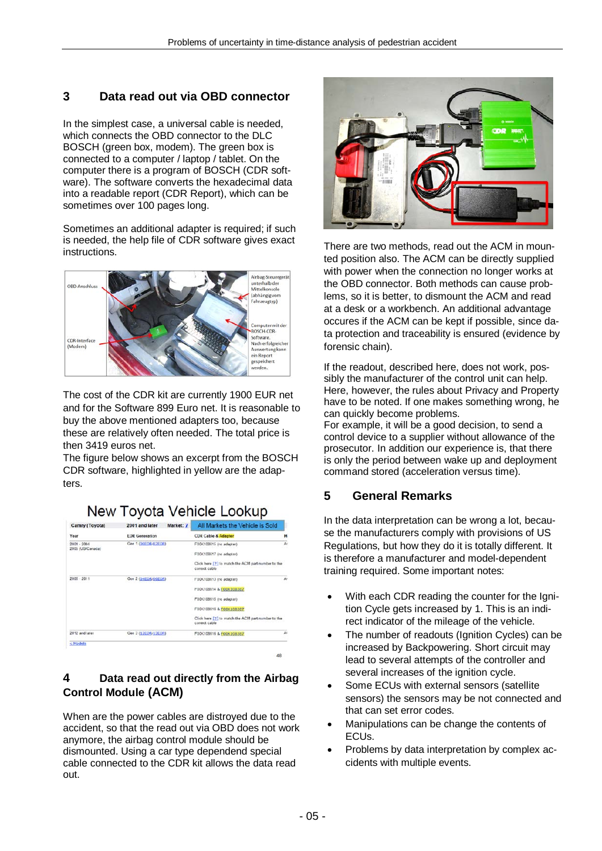# **3 Data read out via OBD connector**

In the simplest case, a universal cable is needed, which connects the OBD connector to the DLC BOSCH (green box, modem). The green box is connected to a computer / laptop / tablet. On the computer there is a program of BOSCH (CDR software). The software converts the hexadecimal data into a readable report (CDR Report), which can be sometimes over 100 pages long.

Sometimes an additional adapter is required; if such is needed, the help file of CDR software gives exact instructions.



The cost of the CDR kit are currently 1900 EUR net and for the Software 899 Euro net. It is reasonable to buy the above mentioned adapters too, because these are relatively often needed. The total price is then 3419 euros net.

The figure below shows an excerpt from the BOSCH CDR software, highlighted in yellow are the adapters.

# New Tovota Vehicle Lookup

| Camry (Toyota)                    | 2001 and later<br>Market: 7 | All Markets the Vehicle is Sold                                     |              |  |  |
|-----------------------------------|-----------------------------|---------------------------------------------------------------------|--------------|--|--|
| Year                              | <b>EDR</b> Generation       | <b>CDR Cable &amp; Adapter</b>                                      | M            |  |  |
| $2001 - 2004$<br>2005 (US/Canada) | Gen 1 (00EDR/02EDR)         | FOOK100515 (no adapter)                                             | Ai.          |  |  |
|                                   |                             | F00K108517 (no adapter)                                             |              |  |  |
|                                   |                             | Click here [?] to match the ACM part number to the<br>correct cable |              |  |  |
| $2005 - 2011$                     | Gen 2 (04EDR/06EDR)         | FOCK108613 (no adapter)                                             | $\mathsf{A}$ |  |  |
|                                   |                             | FOOK108614 & FOOK108387                                             |              |  |  |
|                                   |                             | FOCK108515 (no adapter)                                             |              |  |  |
|                                   |                             | FOOK108516 & FOOK108387                                             |              |  |  |
|                                   |                             | Click here [2] to match the ACM part number to the<br>conect cable  |              |  |  |
| 2012 and later                    | Gen 3 (12EDR/13EDR)         | FOOK108616 & FOOK108387                                             | A            |  |  |

## **4 Data read out directly from the Airbag Control Module (ACM)**

When are the power cables are distroyed due to the accident, so that the read out via OBD does not work anymore, the airbag control module should be dismounted. Using a car type dependend special cable connected to the CDR kit allows the data read out.



There are two methods, read out the ACM in mounted position also. The ACM can be directly supplied with power when the connection no longer works at the OBD connector. Both methods can cause problems, so it is better, to dismount the ACM and read at a desk or a workbench. An additional advantage occures if the ACM can be kept if possible, since data protection and traceability is ensured (evidence by forensic chain).

If the readout, described here, does not work, possibly the manufacturer of the control unit can help. Here, however, the rules about Privacy and Property have to be noted. If one makes something wrong, he can quickly become problems.

For example, it will be a good decision, to send a control device to a supplier without allowance of the prosecutor. In addition our experience is, that there is only the period between wake up and deployment command stored (acceleration versus time).

## **5 General Remarks**

In the data interpretation can be wrong a lot, because the manufacturers comply with provisions of US Regulations, but how they do it is totally different. It is therefore a manufacturer and model-dependent training required. Some important notes:

- With each CDR reading the counter for the Ignition Cycle gets increased by 1. This is an indirect indicator of the mileage of the vehicle.
- The number of readouts (Ignition Cycles) can be increased by Backpowering. Short circuit may lead to several attempts of the controller and several increases of the ignition cycle.
- Some ECUs with external sensors (satellite sensors) the sensors may be not connected and that can set error codes.
- Manipulations can be change the contents of ECUs.
- Problems by data interpretation by complex accidents with multiple events.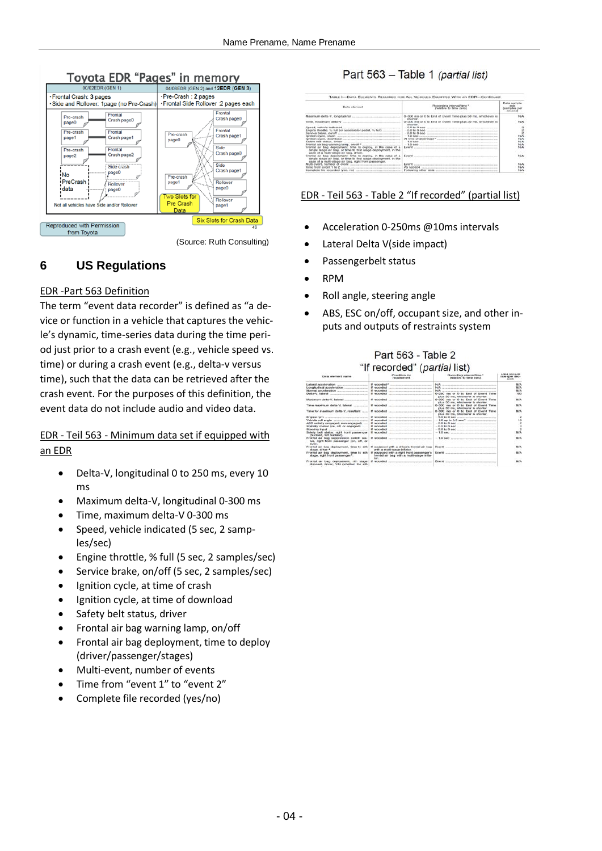

(Source: Ruth Consulting)

# **6 US Regulations**

#### EDR -Part 563 Definition

The term "event data recorder" is defined as "a device or function in a vehicle that captures the vehicle's dynamic, time-series data during the time period just prior to a crash event (e.g., vehicle speed vs. time) or during a crash event (e.g., delta-v versus time), such that the data can be retrieved after the crash event. For the purposes of this definition, the event data do not include audio and video data.

## EDR - Teil 563 - Minimum data set if equipped with an EDR

- Delta-V, longitudinal 0 to 250 ms, every 10 ms
- Maximum delta-V, longitudinal 0-300 ms
- Time, maximum delta-V 0-300 ms
- Speed, vehicle indicated (5 sec, 2 samples/sec)
- Engine throttle, % full (5 sec, 2 samples/sec)
- Service brake, on/off (5 sec, 2 samples/sec)
- Ignition cycle, at time of crash
- Ignition cycle, at time of download
- Safety belt status, driver
- Frontal air bag warning lamp, on/off
- Frontal air bag deployment, time to deploy (driver/passenger/stages)
- Multi-event, number of events
- Time from "event 1" to "event 2"
- Complete file recorded (yes/no)

## Part 563 - Table 1 (partial list)

| <b>Fleite</b> adaptsprof                                                                                                                                                                                           | Fleoording Interval/time 1<br>(retailing to time remot                                                                                                                                                                                                                                                                                                                                                                                                                                                                                                                                                                                                                                                                                                                                                                                                                                 | Date sample<br>rate<br><b>SAFFICONE</b> ENH                     |  |  |  |  |
|--------------------------------------------------------------------------------------------------------------------------------------------------------------------------------------------------------------------|----------------------------------------------------------------------------------------------------------------------------------------------------------------------------------------------------------------------------------------------------------------------------------------------------------------------------------------------------------------------------------------------------------------------------------------------------------------------------------------------------------------------------------------------------------------------------------------------------------------------------------------------------------------------------------------------------------------------------------------------------------------------------------------------------------------------------------------------------------------------------------------|-----------------------------------------------------------------|--|--|--|--|
| lanition sycle, download<br>Frontal air bag deployment, time to deploy, in the case of a<br>single steps air bag, or fires to first steps deployment, in the<br>case of a multi-stage air bag, driver,             | 0-300 ms or 0 to End of Event Time plus 30 ms, whichever is<br>city/white.<br>0-300 ms or 0 to End of Event Time plus 30 ms, whichever is<br>aborter.<br>$-6.0$ to 0 asc $-$ 0 ascenting to $-$ 0.0 as $-$ 0.0 as $-$ 0.0 as $-$ 0.0 as $-$ 0.0 as $-$ 0.0 as $-$ 0.0 as $-$ 0.0 as $-$ 0.0 as $-$ 0.0 as $-$ 0.0 as $-$ 0.0 as $-$ 0.0 as $-$ 0.0 as $-$ 0.0 as $-$ 0.0 as $-$ 0.0 as<br>$-0.01000$ and $-0.01000$<br>$-6.010000$ are all the companion of the companion of the companion of the companion of the companion of the companion of the companion of $-6.010$ $0.0000$ and $-6.0000$ and $-6.0000$ and $-6.0000$ and $-6.0000$ and $-6.$<br>$-1.0$ 600 minutes at a superior contract of the contract of the set of the set of the set of the set of the set of the set of the set of the set of the set of the set of the set of the set of the set of the set of the se | NA<br><b>PAIA</b><br>$\sum_{k=1}^{N}$<br>NIA<br>NA<br>NA<br>N/A |  |  |  |  |
| Frontal air bag deployment, time to deploy, in the case of a<br>single stage air bag, or time to first stage deployment, in the<br>case of a multi-stage air bag, right front passenger.<br>Time from event 1 to 2 | Evert conservation the communication of the communication of the communication<br>Event <i>automation companion companion</i> and construction and companion<br>As needed and an anti-company and an anti-company and an anti-                                                                                                                                                                                                                                                                                                                                                                                                                                                                                                                                                                                                                                                         | <b>NAM</b><br>N/A<br>N/A<br><b>NJA</b>                          |  |  |  |  |

## EDR - Teil 563 - Table 2 "If recorded" (partial list)

- Acceleration 0-250ms @10ms intervals
- Lateral Delta V(side impact)
- Passengerbelt status
- RPM
- Roll angle, steering angle
- ABS, ESC on/off, occupant size, and other inputs and outputs of restraints system

#### Part 563 - Table 2  $B1.5$  are expanded  $B1.6$  and  $B1.1$

| Data element name                                                                                         | Constituto And<br><b>February State</b>                                                                                                 | Recording interval/time *<br>deathstress for forces yearship                                                                                                                                                                  | LOAD & BULLER FOR<br>rate mer sec-<br>concil) |
|-----------------------------------------------------------------------------------------------------------|-----------------------------------------------------------------------------------------------------------------------------------------|-------------------------------------------------------------------------------------------------------------------------------------------------------------------------------------------------------------------------------|-----------------------------------------------|
| atomi acceleration communications                                                                         | If reconsidering the company of the company of the company of the company of                                                            | NHA 122 years of the company of the company of the company of the company of the company of the company of the                                                                                                                | PA/A                                          |
|                                                                                                           |                                                                                                                                         | Now the company of the company of the company of the company of the company of                                                                                                                                                | PEIA                                          |
|                                                                                                           | THE R. P. LEWIS CO., LANSING, MICH. 49-14039-1-120-2<br>If reconsideri                                                                  | Now.<br>THE R. P. LEWIS CO., LANSING, MICH. 49-14039-1-120-2                                                                                                                                                                  | N/A                                           |
|                                                                                                           | If reconsider the contract of the contract of the contract of the con-                                                                  | 0-250 ms or 0 to End of Evant Time<br>cities 30 mm, whichever is shorter.                                                                                                                                                     | <b>BOO</b>                                    |
|                                                                                                           | if reconciled and consumers are a consumer                                                                                              | 0-300 ms or 0 to find of Event Time<br>plus 50 mg, whichever is shorter.                                                                                                                                                      | PRIA                                          |
|                                                                                                           | If recorded in comparison to a propose                                                                                                  | 0-000 ms or 0 to find of Event Time<br>plus 50 ms; whichever is shorter.                                                                                                                                                      | <b>N/A</b>                                    |
| Time for maximum delta-V, resultant                                                                       | If reconciled continuous companions are all the continuous con-                                                                         | 0-300 ms or 0 to End of Event Time<br>plus 30 ms, whichovor is shortor.                                                                                                                                                       | <b>BECA</b>                                   |
|                                                                                                           | If requested contract the company of the contract of                                                                                    |                                                                                                                                                                                                                               | $\frac{1}{2}$                                 |
|                                                                                                           |                                                                                                                                         | $-1.0$ kg to $5.0$ and $^3$                                                                                                                                                                                                   | 1D                                            |
| ABS activity engaged, non-engaged)                                                                        |                                                                                                                                         | $-6.0$ to 0 aec $-$                                                                                                                                                                                                           | $\overline{2}$                                |
| stability control (on, off, or engaged)                                                                   |                                                                                                                                         |                                                                                                                                                                                                                               |                                               |
| Reeding Input                                                                                             | <b>If concerning</b>                                                                                                                    |                                                                                                                                                                                                                               |                                               |
| listely bolt status, right front passenger<br>chuckled, not builded).                                     |                                                                                                                                         |                                                                                                                                                                                                                               | <b>FAIA</b>                                   |
| contail air bas succession patt tia latron<br>tus, right front passenger (on, off, or<br><b>Jakifick1</b> |                                                                                                                                         | $-1.0$ 640 $-$                                                                                                                                                                                                                | N/A                                           |
| stage, driver 4.                                                                                          | Frontal air bag deployment. lime to reh if occessed with a driver's frontal air bag<br>with a stadio-stage inflator.                    | Fund - Department - And - And - And - And - And - And - And - And - And - And - And - And - And - And - And - And - And - And - And - And - And - And - And - And - And - And - And - And - And - And - And - And - And - And | <b>FAIA</b>                                   |
| stage, right front passences."                                                                            | Fortal air bao deployment, time to reft. If equipoed with a right front passenger's<br>frontel air beg with a multi-stage infa-<br>tor. |                                                                                                                                                                                                                               | FE/A                                          |
| Frontal air bag deprovinent, rith stage if recorded<br>disposal, driver, Y/N ceitether the nth            | And the property of the property and the property of the control of the property                                                        |                                                                                                                                                                                                                               | <b>NIA</b>                                    |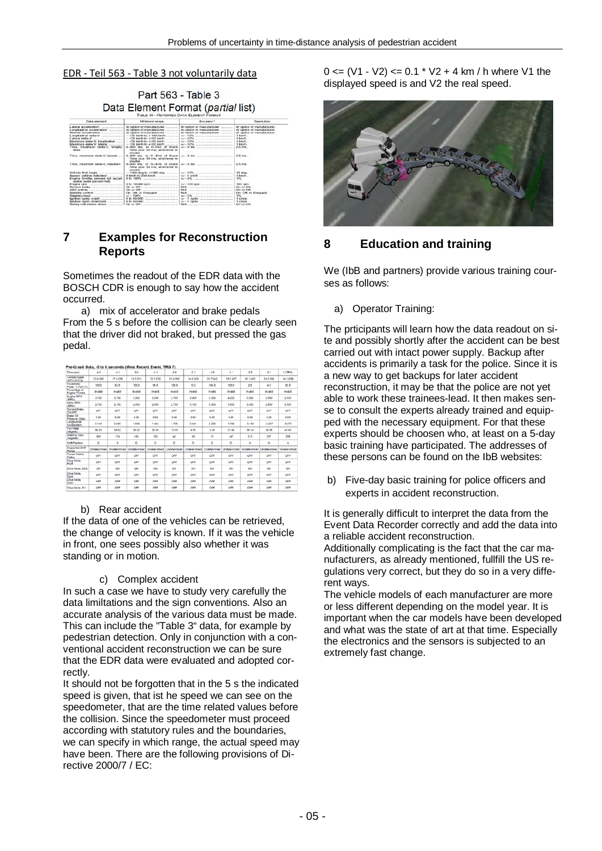#### EDR - Teil 563 - Table 3 not voluntarily data

Part 563 - Table 3 Data Element Format (partial list)

| <b>Custa element</b>                                                            | Minimum cancer                                                                                               | Accuracy 1                                                                                                                                                                                                                     | <b>Resolution</b>               |
|---------------------------------------------------------------------------------|--------------------------------------------------------------------------------------------------------------|--------------------------------------------------------------------------------------------------------------------------------------------------------------------------------------------------------------------------------|---------------------------------|
|                                                                                 |                                                                                                              | At option of manufacturer common                                                                                                                                                                                               | At continue of magnitude/barer. |
|                                                                                 |                                                                                                              | At option of manufacturer                                                                                                                                                                                                      | At option of manufacturer.      |
| <b>Novemal Accompanions</b><br>and the company's control and                    |                                                                                                              |                                                                                                                                                                                                                                | At certical of memobilisms.     |
|                                                                                 |                                                                                                              | $47 - 10\%$ . All and the continuum continuum of the contract of the contract of the contract of the contract of the contract of the contract of the contract of the contract of the contract of the contract of the contract  | 1 km/h.                         |
|                                                                                 |                                                                                                              |                                                                                                                                                                                                                                | 1 km/h                          |
| Maximum dolla-V. Icegilodinai                                                   |                                                                                                              | $44 - 10\%$ . The second contract of the second contract of the second contract of the second contract of the second contract of the second contract of the second contract of the second contract of the second contract of t | t km/h.                         |
| Maximum delta-V. labarat                                                        | $-100$ km/h to +100 km/h                                                                                     |                                                                                                                                                                                                                                | 4 August                        |
| Time, maximum delta-V, longitu-<br>direct and the contract of                   | 0-300 ms. or 0-End of Event<br>Time plus 30 ms, whichever is<br>stwirter.                                    |                                                                                                                                                                                                                                | 2.E. ma.                        |
| Time, maximum defts/V. lateral                                                  | 0.000 ms. or 0. End of Everal<br>Time plus 30 ms, whichever is<br>a hourkeer.                                |                                                                                                                                                                                                                                | 2.5 ms.                         |
| Titrue, mazdmum delts-V, resultant                                              | Time clus 30 ms. whichever is<br>showbite                                                                    |                                                                                                                                                                                                                                | 2.5 mm                          |
|                                                                                 | $-1080$ deg to $+1080$ deg                                                                                   |                                                                                                                                                                                                                                | 10 deg.                         |
| ficeed, vehicle indicated                                                       |                                                                                                              |                                                                                                                                                                                                                                | 1 km/h.                         |
| Engine throttle, percent full (accel-<br>intuitor postal particled balls.       | 0 to 100%<br>the first product of the product and the product of the con-                                    | $\bullet$ $\prime$ = $\overline{5}$ % constraints are a constraint and an article                                                                                                                                              | 156.                            |
| Engine rpm                                                                      | 0 to 10,000 rpm                                                                                              |                                                                                                                                                                                                                                | 100 rpm.                        |
|                                                                                 |                                                                                                              |                                                                                                                                                                                                                                | Chrysler Child                  |
|                                                                                 | On or Off <i>supported the content of the California</i>                                                     | NIA consideration of the construction of the                                                                                                                                                                                   | On or Off.                      |
|                                                                                 |                                                                                                              | NIA - processing acceptance of the contract                                                                                                                                                                                    | On, Off, or Engaged.            |
| Steering input                                                                  |                                                                                                              |                                                                                                                                                                                                                                | T%.                             |
| lanition oycle, crash                                                           |                                                                                                              |                                                                                                                                                                                                                                | 1 overe.                        |
| tombon cycles, downtood.                                                        |                                                                                                              |                                                                                                                                                                                                                                | 1 cycle.                        |
| the contract of the contract of the contract of the contract of the contract of | after the state of the control of the control of the control of the control of the control of the control of | being the company of the company of the company of the company of the company of                                                                                                                                               | allowed the air officers.       |

## **7 Examples for Reconstruction Reports**

Sometimes the readout of the EDR data with the BOSCH CDR is enough to say how the accident occurred.

a) mix of accelerator and brake pedals From the 5 s before the collision can be clearly seen that the driver did not braked, but pressed the gas pedal.

#### Pre-Crash Data, -5 to 0 seconds (Most Recent Event, TRG 7)

| Time (sec)                         | $-4.6$       | -4.1        | $-3.6$              | $-3.1$    | -2.6                      | -2.1            | $-1.8$                    | $-1.1$     | $-2.8$       | $-2.1$         | 0 (TRG)      |
|------------------------------------|--------------|-------------|---------------------|-----------|---------------------------|-----------------|---------------------------|------------|--------------|----------------|--------------|
| Vehicle Speed<br>(MPH SemP2)       | 22.4 (38)    | 17.4 (28)   | 19.3 [31]           | 20.5 (33) | 22.4 (36)                 | 24.9 (40)       | 26.7 (43)                 | 29.2 (47)  | 26.1 (42)    | 24.2 (39)      | 24.2 (39)    |
| Accelerator<br>Pedal, % Full (%)   | 100.0        | 62.5        | 100.0               | 98.5      | 100.0                     | 10.0            | 100.0                     | 100.0      | 2.0          | 40             | 52.5         |
| Percentage of<br>Engine Throttle   | Invalid      | Invalid     | Invalid             | Invalid   | Invalid                   | Invalid         | Invalid                   | Invalid    | Invalid      | Invalid        | Invalid      |
| <b>Engine RPM</b><br>RPLC.         | 3.700        | 3.700       | 3,300               | 3.500     | 3.700                     | 3.900           | 3,300                     | 4.200      | 3.500        | 2.900          | 2.900        |
| <b>Motor RPM</b><br>RPM:           | 2.700        | 2.100       | 2,400               | 2,600     | 2.700                     | 3.100           | 3.300                     | 3.500      | 3,400        | 2.900          | 3.000        |
| Service Brake.<br>ONICER           | OFF          | OFF         | OFF                 | OFF       | OFF                       | CFF             | CFF                       | CFF        | OFF          | OFF            | OFF          |
| <b>Brake Oil</b><br>Pressure (Mos) | 0.00         | 0.00        | 0.00                | 0.00      | 0.00                      | 0.00            | 0.00                      | 0.00       | 0.00         | 0.00           | 0.00         |
| Longitudinal<br>Annalemäine        | 0.544        | 0.000       | 1,005               | 1,364     | 1.795                     | 2.441           | 2.225                     | 1.795      | $-3.158$     | $-2.297$       | $-8.973$     |
| Yaw Rate<br>[deg vec]              | 56.61        | 35.62       | 35.62               | 26.35     | 12.20                     | 8.30            | 1.45                      | 21.96      | 35.14        | 38.55          | 40.99        |
| Steering Input<br>Oldrees:         | 309          | 174         | 168                 | 102       | 48                        | 30 <sub>1</sub> | 15                        | 147        | 213          | 237            | 225          |
| <b>Shift Position</b>              | b            | b           | b                   | b         | b                         | b.              | b.                        | b.         | N            | N              | N            |
| Sequential Shift<br>Range          | Undetermined | Undatendrad | <b>Undetermined</b> |           | Undetermined Undetermined | Undetermined    | Undetermined Undetermined |            | Undetermined | Lindatenninart | Undetermined |
| Cruise Control<br>Status           | OFF          | OFF         | OFF                 | OFF       | OFF                       | CFF             | OFF                       | OFF        | OFF          | OFF            | OFF          |
| Drive Mode.<br>PWR                 | OFF          | OFF         | OFF                 | OFF       | OFF                       | OFF             | OFF                       | OFF        | OFF          | OFF            | OFF          |
| Drive Mode, ECO                    | CN           | CN          | CN                  | CN        | ON                        | ON              | CN                        | CIN        | CIN          | CN             | CIN          |
| Drive Mode.<br><b>Sport</b>        | OFF          | OFF         | OFF                 | OFF       | OFF                       | CFF             | CRE                       | CFF        | OFF          | OFF            | OFF          |
| Drive Mode:<br>Show                | CFT          | CATE        | CSE                 | OFF       | OFF                       | CSE             | CRR                       | <b>OFF</b> | <b>OFF</b>   | CSE            | CFT          |
| Drive Mode, EV                     | CFF          | OFF         | CSE                 | OFF       | OFF                       | <b>CRE</b>      | CFF                       | C##        | OFF          | CSE            | CFT          |
|                                    |              |             |                     |           |                           |                 |                           |            |              |                |              |

#### b) Rear accident

If the data of one of the vehicles can be retrieved, the change of velocity is known. If it was the vehicle in front, one sees possibly also whether it was standing or in motion.

#### c) Complex accident

In such a case we have to study very carefully the data limiltations and the sign conventions. Also an accurate analysis of the various data must be made. This can include the "Table 3" data, for example by pedestrian detection. Only in conjunction with a conventional accident reconstruction we can be sure that the EDR data were evaluated and adopted correctly.

It should not be forgotten that in the 5 s the indicated speed is given, that ist he speed we can see on the speedometer, that are the time related values before the collision. Since the speedometer must proceed according with statutory rules and the boundaries, we can specify in which range, the actual speed may have been. There are the following provisions of Directive 2000/7 / EC:

 $0 \leq (V1 - V2) \leq 0.1 * V2 + 4$  km / h where V1 the displayed speed is and V2 the real speed.



## **8 Education and training**

We (IbB and partners) provide various training courses as follows:

#### a) Operator Training:

The prticipants will learn how the data readout on site and possibly shortly after the accident can be best carried out with intact power supply. Backup after accidents is primarily a task for the police. Since it is a new way to get backups for later accident reconstruction, it may be that the police are not yet able to work these trainees-lead. It then makes sense to consult the experts already trained and equipped with the necessary equipment. For that these experts should be choosen who, at least on a 5-day basic training have participated. The addresses of these persons can be found on the IbB websites:

b) Five-day basic training for police officers and experts in accident reconstruction.

It is generally difficult to interpret the data from the Event Data Recorder correctly and add the data into a reliable accident reconstruction.

Additionally complicating is the fact that the car manufacturers, as already mentioned, fullfill the US regulations very correct, but they do so in a very different ways.

The vehicle models of each manufacturer are more or less different depending on the model year. It is important when the car models have been developed and what was the state of art at that time. Especially the electronics and the sensors is subjected to an extremely fast change.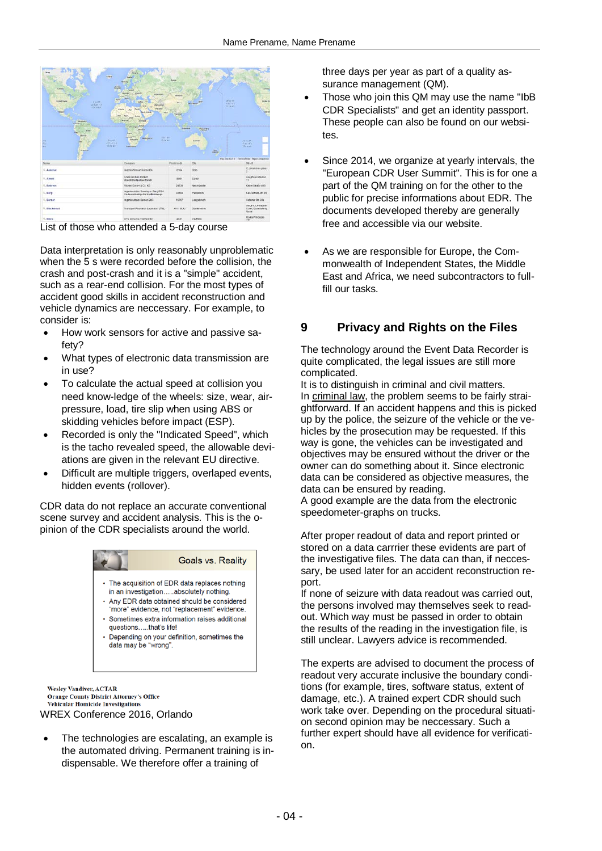

List of those who attended a 5-day course

Data interpretation is only reasonably unproblematic when the 5 s were recorded before the collision, the crash and post-crash and it is a "simple" accident, such as a rear-end collision. For the most types of accident good skills in accident reconstruction and vehicle dynamics are neccessary. For example, to consider is:

- How work sensors for active and passive safety?
- What types of electronic data transmission are in use?
- To calculate the actual speed at collision you need know-ledge of the wheels: size, wear, airpressure, load, tire slip when using ABS or skidding vehicles before impact (ESP).
- Recorded is only the "Indicated Speed", which is the tacho revealed speed, the allowable deviations are given in the relevant EU directive.
- Difficult are multiple triggers, overlaped events, hidden events (rollover).

CDR data do not replace an accurate conventional scene survey and accident analysis. This is the opinion of the CDR specialists around the world.



**Wesley Vandiver, ACTAR Orange County District Attorney's Office** Vehicular Homicide Investigations WREX Conference 2016, Orlando

The technologies are escalating, an example is the automated driving. Permanent training is indispensable. We therefore offer a training of

three days per year as part of a quality assurance management (QM).

- Those who join this QM may use the name "IbB CDR Specialists" and get an identity passport. These people can also be found on our websites.
- Since 2014, we organize at yearly intervals, the "European CDR User Summit". This is for one a part of the QM training on for the other to the public for precise informations about EDR. The documents developed thereby are generally free and accessible via our website.
- As we are responsible for Europe, the Commonwealth of Independent States, the Middle East and Africa, we need subcontractors to fullfill our tasks.

# **9 Privacy and Rights on the Files**

The technology around the Event Data Recorder is quite complicated, the legal issues are still more complicated.

It is to distinguish in criminal and civil matters. In criminal law, the problem seems to be fairly straightforward. If an accident happens and this is picked up by the police, the seizure of the vehicle or the vehicles by the prosecution may be requested. If this way is gone, the vehicles can be investigated and objectives may be ensured without the driver or the owner can do something about it. Since electronic data can be considered as objective measures, the data can be ensured by reading.

A good example are the data from the electronic speedometer-graphs on trucks.

After proper readout of data and report printed or stored on a data carrrier these evidents are part of the investigative files. The data can than, if neccessary, be used later for an accident reconstruction report.

If none of seizure with data readout was carried out, the persons involved may themselves seek to readout. Which way must be passed in order to obtain the results of the reading in the investigation file, is still unclear. Lawyers advice is recommended.

The experts are advised to document the process of readout very accurate inclusive the boundary conditions (for example, tires, software status, extent of damage, etc.). A trained expert CDR should such work take over. Depending on the procedural situation second opinion may be neccessary. Such a further expert should have all evidence for verification.